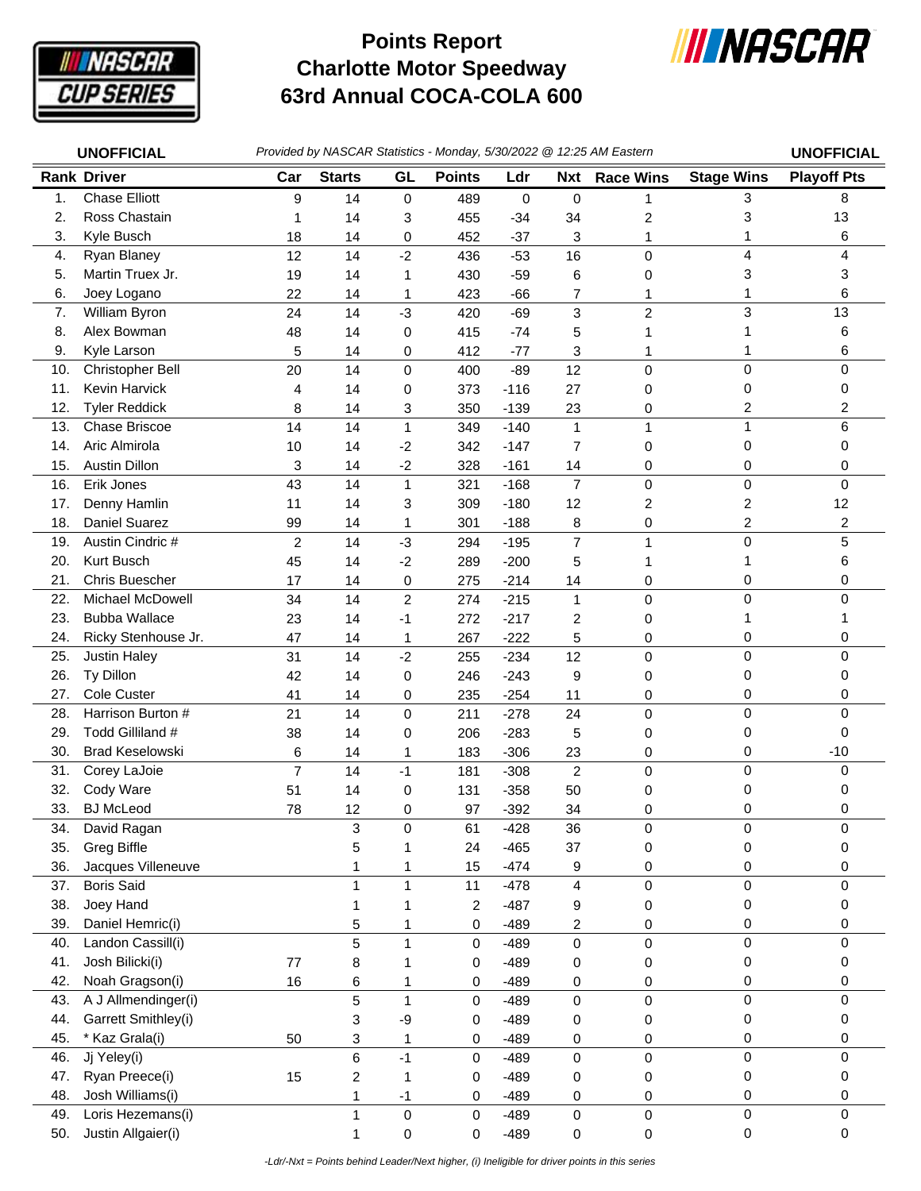

## **Charlotte Motor Speedway 63rd Annual COCA-COLA 600 Points Report**



|     | <b>UNOFFICIAL</b>       | Provided by NASCAR Statistics - Monday, 5/30/2022 @ 12:25 AM Eastern |                         |                |               |        |                         |                  |                         | <b>UNOFFICIAL</b>  |
|-----|-------------------------|----------------------------------------------------------------------|-------------------------|----------------|---------------|--------|-------------------------|------------------|-------------------------|--------------------|
|     | <b>Rank Driver</b>      | Car                                                                  | <b>Starts</b>           | GL             | <b>Points</b> | Ldr    | <b>Nxt</b>              | <b>Race Wins</b> | <b>Stage Wins</b>       | <b>Playoff Pts</b> |
| 1.  | <b>Chase Elliott</b>    | 9                                                                    | 14                      | 0              | 489           | 0      | 0                       | 1                | 3                       | 8                  |
| 2.  | Ross Chastain           | 1                                                                    | 14                      | 3              | 455           | $-34$  | 34                      | 2                | 3                       | 13                 |
| 3.  | Kyle Busch              | 18                                                                   | 14                      | 0              | 452           | $-37$  | 3                       | 1                | 1                       | 6                  |
| 4.  | Ryan Blaney             | 12                                                                   | 14                      | $-2$           | 436           | $-53$  | 16                      | 0                | 4                       | 4                  |
| 5.  | Martin Truex Jr.        | 19                                                                   | 14                      | 1              | 430           | $-59$  | 6                       | 0                | 3                       | 3                  |
| 6.  | Joey Logano             | 22                                                                   | 14                      | 1              | 423           | $-66$  | 7                       | 1                | 1                       | 6                  |
| 7.  | William Byron           | 24                                                                   | 14                      | $-3$           | 420           | $-69$  | 3                       | $\overline{c}$   | 3                       | 13                 |
| 8.  | Alex Bowman             | 48                                                                   | 14                      | 0              | 415           | $-74$  | 5                       | 1                | 1                       | 6                  |
| 9.  | Kyle Larson             | 5                                                                    | 14                      | 0              | 412           | $-77$  | 3                       | 1                | 1                       | 6                  |
| 10. | Christopher Bell        | 20                                                                   | 14                      | 0              | 400           | $-89$  | 12                      | 0                | 0                       | 0                  |
| 11. | Kevin Harvick           | 4                                                                    | 14                      | 0              | 373           | $-116$ | 27                      | 0                | 0                       | 0                  |
| 12. | <b>Tyler Reddick</b>    | 8                                                                    | 14                      | 3              | 350           | $-139$ | 23                      | 0                | 2                       | 2                  |
| 13. | Chase Briscoe           | 14                                                                   | 14                      | $\mathbf{1}$   | 349           | $-140$ | $\mathbf{1}$            | 1                | 1                       | 6                  |
| 14. | Aric Almirola           | 10                                                                   | 14                      | $-2$           | 342           | $-147$ | $\overline{7}$          | 0                | 0                       | 0                  |
| 15. | <b>Austin Dillon</b>    | 3                                                                    | 14                      | $-2$           | 328           | $-161$ | 14                      | 0                | 0                       | 0                  |
| 16. | Erik Jones              | 43                                                                   | 14                      | $\mathbf 1$    | 321           | $-168$ | $\overline{7}$          | 0                | 0                       | $\Omega$           |
| 17. | Denny Hamlin            | 11                                                                   | 14                      | 3              | 309           | $-180$ | 12                      | 2                | 2                       | 12                 |
| 18. | Daniel Suarez           | 99                                                                   | 14                      | 1              | 301           | $-188$ | 8                       | 0                | $\overline{\mathbf{c}}$ | 2                  |
| 19. | Austin Cindric #        | $\overline{c}$                                                       | 14                      | $-3$           | 294           | $-195$ | 7                       | 1                | 0                       | 5                  |
| 20. | Kurt Busch              | 45                                                                   | 14                      | $-2$           | 289           | $-200$ | 5                       | 1                | 1                       | 6                  |
| 21. | <b>Chris Buescher</b>   | 17                                                                   | 14                      | 0              | 275           | $-214$ | 14                      | 0                | 0                       | 0                  |
| 22. | <b>Michael McDowell</b> | 34                                                                   | 14                      | $\overline{c}$ | 274           | $-215$ | $\mathbf{1}$            | 0                | 0                       | 0                  |
| 23. | <b>Bubba Wallace</b>    | 23                                                                   | 14                      | $-1$           | 272           | $-217$ | 2                       | 0                | 1                       |                    |
| 24. | Ricky Stenhouse Jr.     | 47                                                                   | 14                      | 1              | 267           | $-222$ | 5                       | 0                | 0                       | 0                  |
| 25. | <b>Justin Haley</b>     | 31                                                                   | 14                      | $-2$           | 255           | $-234$ | 12                      | 0                | 0                       | 0                  |
| 26. | Ty Dillon               | 42                                                                   | 14                      | 0              | 246           | $-243$ | 9                       | 0                | 0                       | 0                  |
| 27. | Cole Custer             | 41                                                                   | 14                      | 0              | 235           | $-254$ | 11                      | 0                | 0                       | 0                  |
| 28. | Harrison Burton #       | 21                                                                   | 14                      | 0              | 211           | $-278$ | 24                      | 0                | 0                       | 0                  |
| 29. | Todd Gilliland #        | 38                                                                   | 14                      | 0              | 206           | $-283$ | 5                       | 0                | 0                       | 0                  |
| 30. | <b>Brad Keselowski</b>  | 6                                                                    | 14                      | 1              | 183           | $-306$ | 23                      | 0                | 0                       | $-10$              |
| 31. | Corey LaJoie            | $\overline{7}$                                                       | 14                      | $-1$           | 181           | $-308$ | $\overline{c}$          | 0                | 0                       | 0                  |
| 32. | Cody Ware               | 51                                                                   | 14                      | 0              | 131           | $-358$ | 50                      | 0                | 0                       | O                  |
| 33. | <b>BJ</b> McLeod        | 78                                                                   | 12                      | 0              | 97            | $-392$ | 34                      | 0                | 0                       | 0                  |
| 34. | David Ragan             |                                                                      | 3                       | 0              | 61            | $-428$ | 36                      | 0                | 0                       | 0                  |
| 35. | <b>Greg Biffle</b>      |                                                                      | 5                       | 1              | 24            | $-465$ | 37                      | 0                | 0                       | 0                  |
| 36. | Jacques Villeneuve      |                                                                      | 1                       | 1              | 15            | $-474$ | 9                       | 0                | 0                       | 0                  |
| 37. | <b>Boris Said</b>       |                                                                      | $\mathbf{1}$            | 1              | 11            | $-478$ | $\overline{\mathbf{4}}$ | 0                | 0                       | 0                  |
| 38. | Joey Hand               |                                                                      | 1                       | 1              | 2             | $-487$ | 9                       | 0                | 0                       | 0                  |
| 39. | Daniel Hemric(i)        |                                                                      | 5                       | 1              | 0             | $-489$ | $\overline{c}$          | 0                | 0                       | 0                  |
| 40. | Landon Cassill(i)       |                                                                      | 5                       | $\overline{1}$ | 0             | $-489$ | $\pmb{0}$               | 0                | 0                       | 0                  |
| 41. | Josh Bilicki(i)         | 77                                                                   | 8                       | 1              | 0             | $-489$ | 0                       | 0                | 0                       | 0                  |
| 42. | Noah Gragson(i)         | 16                                                                   | 6                       | 1              | 0             | $-489$ | 0                       | 0                | 0                       | 0                  |
| 43. | A J Allmendinger(i)     |                                                                      | 5                       | $\mathbf{1}$   | 0             | $-489$ | $\mathbf 0$             | 0                | 0                       | 0                  |
| 44. | Garrett Smithley(i)     |                                                                      | 3                       | $-9$           | 0             | $-489$ | 0                       | 0                | 0                       | 0                  |
| 45. | * Kaz Grala(i)          | 50                                                                   | 3                       | $\mathbf 1$    | 0             | $-489$ | 0                       | 0                | 0                       | 0                  |
| 46. | Jj Yeley(i)             |                                                                      | 6                       | $-1$           | 0             | $-489$ | $\mathbf 0$             | 0                | 0                       | 0                  |
| 47. | Ryan Preece(i)          | 15                                                                   | $\overline{\mathbf{c}}$ | $\mathbf{1}$   | 0             | $-489$ | 0                       | 0                | 0                       | 0                  |
| 48. | Josh Williams(i)        |                                                                      | 1                       | $-1$           | 0             | $-489$ | 0                       | 0                | 0                       | 0                  |
| 49. | Loris Hezemans(i)       |                                                                      | $\mathbf{1}$            | 0              | 0             | $-489$ | 0                       | 0                | 0                       | 0                  |
| 50. | Justin Allgaier(i)      |                                                                      | 1                       | 0              | 0             | $-489$ | 0                       | 0                | 0                       | 0                  |